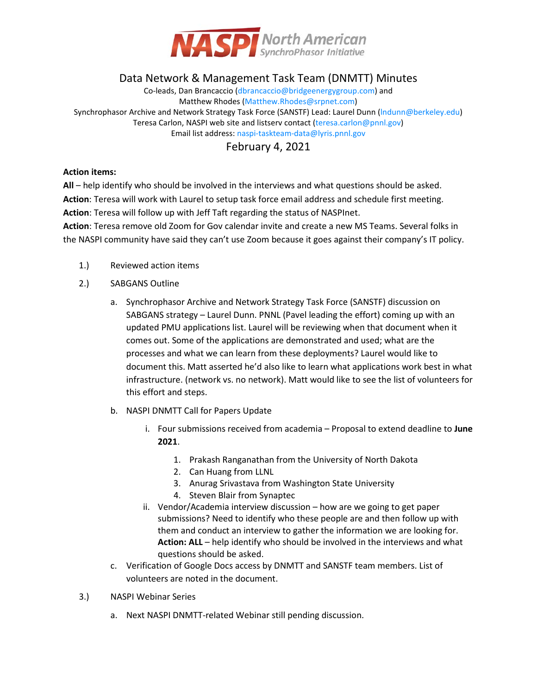

## Data Network & Management Task Team (DNMTT) Minutes

Co-leads, Dan Brancaccio [\(dbrancaccio@bridgeenergygroup.com\)](mailto:dbrancaccio@bridgeenergygroup.com) and Matthew Rhodes [\(Matthew.Rhodes@srpnet.com\)](mailto:Matthew.Rhodes@srpnet.com) Synchrophasor Archive and Network Strategy Task Force (SANSTF) Lead: Laurel Dunn (Indunn@berkeley.edu) Teresa Carlon, NASPI web site and listserv contact [\(teresa.carlon@pnnl.gov\)](mailto:teresa.carlon@pnnl.gov) Email list address[: naspi-taskteam-data@lyris.pnnl.gov](mailto:naspi-taskteam-data@lyris.pnnl.gov)

## February 4, 2021

## **Action items:**

**All** – help identify who should be involved in the interviews and what questions should be asked. **Action**: Teresa will work with Laurel to setup task force email address and schedule first meeting. **Action**: Teresa will follow up with Jeff Taft regarding the status of NASPInet.

**Action**: Teresa remove old Zoom for Gov calendar invite and create a new MS Teams. Several folks in the NASPI community have said they can't use Zoom because it goes against their company's IT policy.

- 1.) Reviewed action items
- 2.) SABGANS Outline
	- a. Synchrophasor Archive and Network Strategy Task Force (SANSTF) discussion on SABGANS strategy – Laurel Dunn. PNNL (Pavel leading the effort) coming up with an updated PMU applications list. Laurel will be reviewing when that document when it comes out. Some of the applications are demonstrated and used; what are the processes and what we can learn from these deployments? Laurel would like to document this. Matt asserted he'd also like to learn what applications work best in what infrastructure. (network vs. no network). Matt would like to see the list of volunteers for this effort and steps.
	- b. NASPI DNMTT Call for Papers Update
		- i. Four submissions received from academia Proposal to extend deadline to **June 2021**.
			- 1. Prakash Ranganathan from the University of North Dakota
			- 2. Can Huang from LLNL
			- 3. Anurag Srivastava from Washington State University
			- 4. Steven Blair from Synaptec
		- ii. Vendor/Academia interview discussion how are we going to get paper submissions? Need to identify who these people are and then follow up with them and conduct an interview to gather the information we are looking for. **Action: ALL** – help identify who should be involved in the interviews and what questions should be asked.
	- c. Verification of Google Docs access by DNMTT and SANSTF team members. List of volunteers are noted in the document.
- 3.) NASPI Webinar Series
	- a. Next NASPI DNMTT-related Webinar still pending discussion.